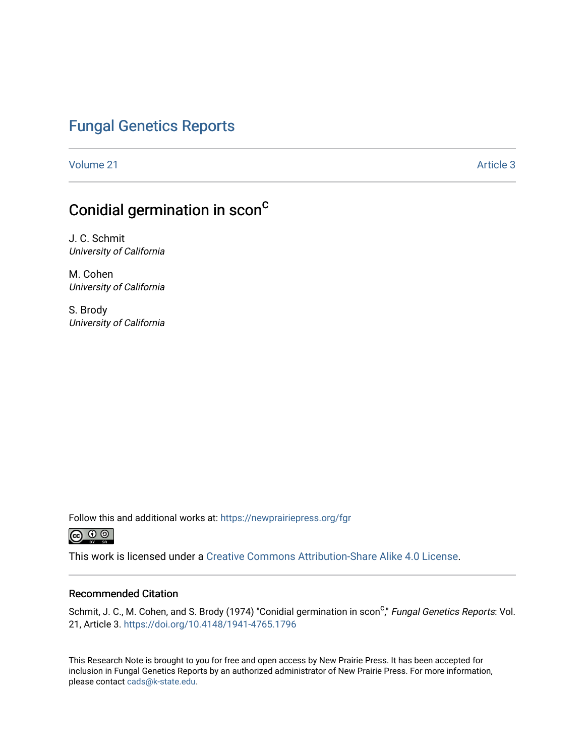### [Fungal Genetics Reports](https://newprairiepress.org/fgr)

[Volume 21](https://newprairiepress.org/fgr/vol21) Article 3

# Conidial germination in scon<sup>c</sup>

J. C. Schmit University of California

M. Cohen University of California

S. Brody University of California

Follow this and additional works at: [https://newprairiepress.org/fgr](https://newprairiepress.org/fgr?utm_source=newprairiepress.org%2Ffgr%2Fvol21%2Fiss1%2F3&utm_medium=PDF&utm_campaign=PDFCoverPages) 



This work is licensed under a [Creative Commons Attribution-Share Alike 4.0 License.](https://creativecommons.org/licenses/by-sa/4.0/)

#### Recommended Citation

Schmit, J. C., M. Cohen, and S. Brody (1974) "Conidial germination in scon<sup>c</sup>," *Fungal Genetics Reports*: Vol. 21, Article 3. <https://doi.org/10.4148/1941-4765.1796>

This Research Note is brought to you for free and open access by New Prairie Press. It has been accepted for inclusion in Fungal Genetics Reports by an authorized administrator of New Prairie Press. For more information, please contact [cads@k-state.edu.](mailto:cads@k-state.edu)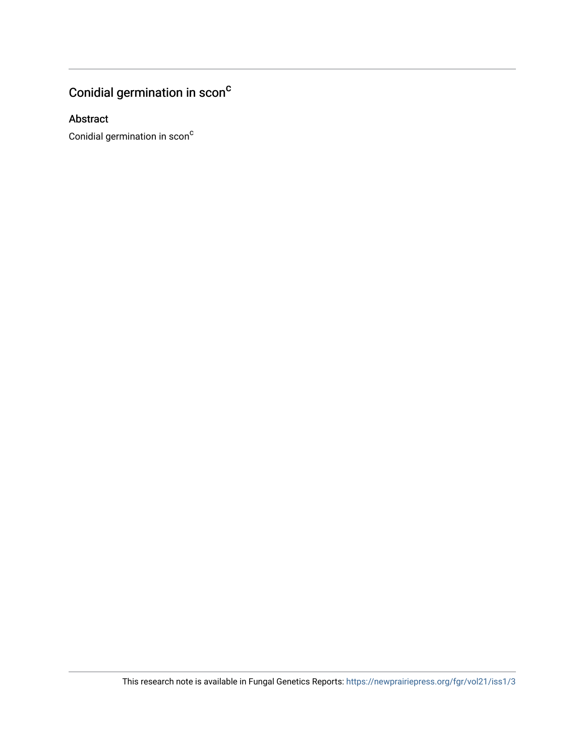# Conidial germination in scon $^c$

### Abstract

Conidial germination in scon<sup>c</sup>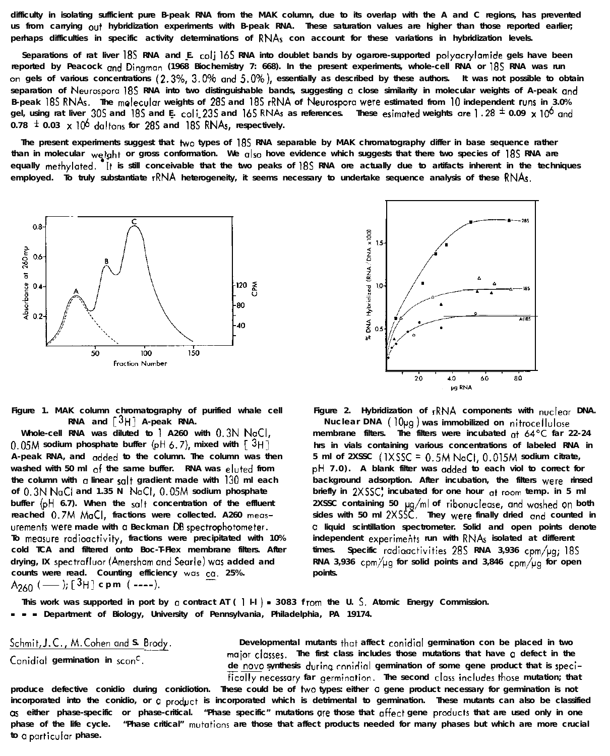Schmit, J.C., M. Cohen and S. Brody. **Conidial germination in scone.**

**Developmental mutants that affect canidial germination con be placed in two major classes.** The first class includes those mutations that have q defect in the de novo synthesis during conidial germination of some gene product that is speci-**Fically necessary far germination.** The second class includes those mutation; that **produce defective conidio during conidiotion. These could be of two types: either a gene product necessary for germination is not** incorporated into the conidio, or  $\alpha$  product is incorporated which is detrimental to germination. These mutants can also be classified  $\alpha$ s either phase-specific or phase-critical. "Phase specific" mutations  $\alpha$ re those that affect gene products that are used only in one **phase of the life cycle. "Phase critical" mutations are those that affect products needed for many phases but which are more crucial to CI pclrticulor phase.**